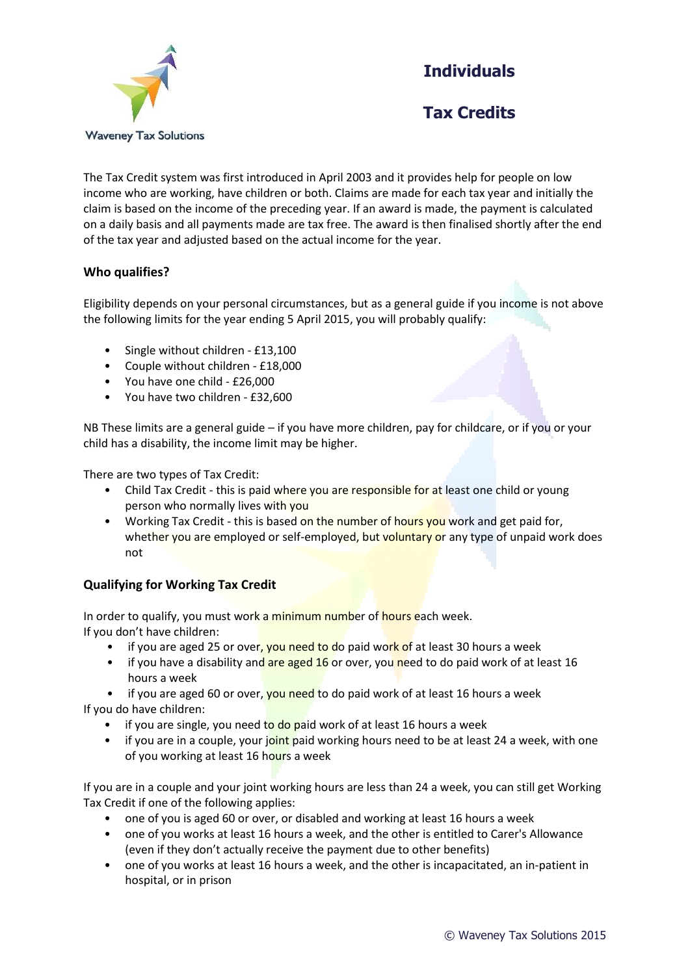**Individuals**



**Tax Credits**

The Tax Credit system was first introduced in April 2003 and it provides help for people on low income who are working, have children or both. Claims are made for each tax year and initially the claim is based on the income of the preceding year. If an award is made, the payment is calculated on a daily basis and all payments made are tax free. The award is then finalised shortly after the end of the tax year and adjusted based on the actual income for the year.

## **Who qualifies?**

Eligibility depends on your personal circumstances, but as a general guide if you income is not above the following limits for the year ending 5 April 2015, you will probably qualify:

- Single without children £13,100
- Couple without children £18,000
- You have one child £26,000
- You have two children £32,600

NB These limits are a general guide – if you have more children, pay for childcare, or if you or your child has a disability, the income limit may be higher.

There are two types of Tax Credit:

- Child Tax Credit this is paid where you are responsible for at least one child or young person who normally lives with you
- Working Tax Credit this is based on the number of hours you work and get paid for, whether you are employed or self-employed, but voluntary or any type of unpaid work does not

## **Qualifying for Working Tax Credit**

In order to qualify, you must work a minimum number of hours each week. If you don't have children:

- if you are aged 25 or over, you need to do paid work of at least 30 hours a week
- if you have a disability and are aged 16 or over, you need to do paid work of at least 16 hours a week
- if you are aged 60 or over, you need to do paid work of at least 16 hours a week If you do have children:
	- if you are single, you need to do paid work of at least 16 hours a week
	- if you are in a couple, your joint paid working hours need to be at least 24 a week, with one of you working at least 16 hours a week

If you are in a couple and your joint working hours are less than 24 a week, you can still get Working Tax Credit if one of the following applies:

- one of you is aged 60 or over, or disabled and working at least 16 hours a week
- one of you works at least 16 hours a week, and the other is entitled to Carer's Allowance (even if they don't actually receive the payment due to other benefits)
- one of you works at least 16 hours a week, and the other is incapacitated, an in-patient in hospital, or in prison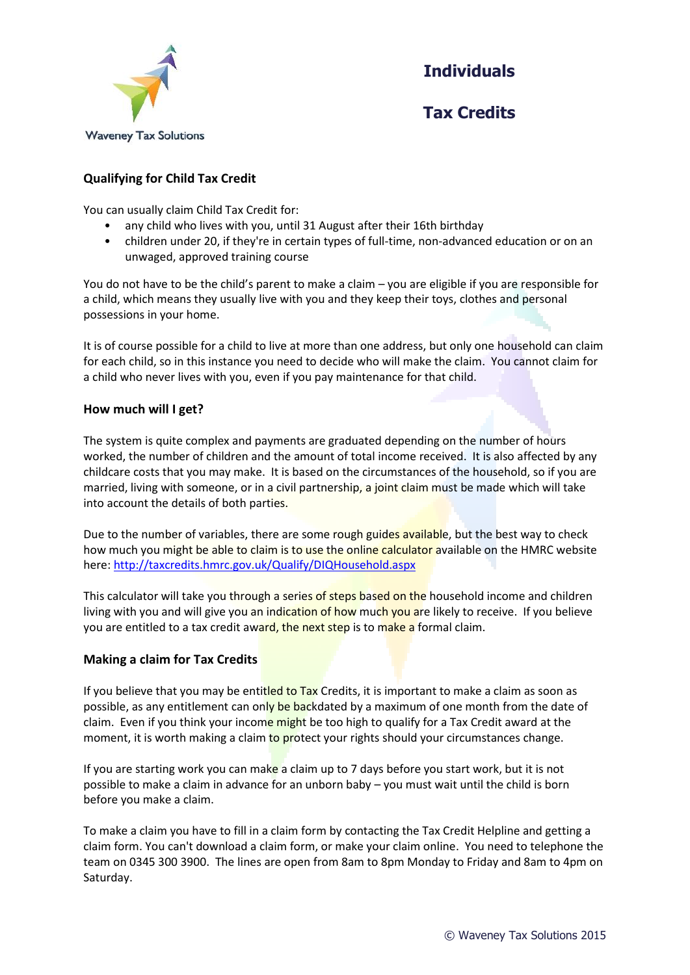

**Individuals**

**Tax Credits**

# **Qualifying for Child Tax Credit**

You can usually claim Child Tax Credit for:

- any child who lives with you, until 31 August after their 16th birthday
- children under 20, if they're in certain types of full-time, non-advanced education or on an unwaged, approved training course

You do not have to be the child's parent to make a claim – you are eligible if you are responsible for a child, which means they usually live with you and they keep their toys, clothes and personal possessions in your home.

It is of course possible for a child to live at more than one address, but only one household can claim for each child, so in this instance you need to decide who will make the claim. You cannot claim for a child who never lives with you, even if you pay maintenance for that child.

## **How much will I get?**

The system is quite complex and payments are graduated depending on the number of hours worked, the number of children and the amount of total income received. It is also affected by any childcare costs that you may make. It is based on the circumstances of the household, so if you are married, living with someone, or in a civil partnership, a joint claim must be made which will take into account the details of both parties.

Due to the number of variables, there are some rough guides available, but the best way to check how much you might be able to claim is to use the online calculator available on the HMRC website here:<http://taxcredits.hmrc.gov.uk/Qualify/DIQHousehold.aspx>

This calculator will take you through a series of steps based on the household income and children living with you and will give you an indication of how much you are likely to receive. If you believe you are entitled to a tax credit award, the next step is to make a formal claim.

#### **Making a claim for Tax Credits**

If you believe that you may be entitled to Tax Credits, it is important to make a claim as soon as possible, as any entitlement can only be backdated by a maximum of one month from the date of claim. Even if you think your income might be too high to qualify for a Tax Credit award at the moment, it is worth making a claim to protect your rights should your circumstances change.

If you are starting work you can make a claim up to 7 days before you start work, but it is not possible to make a claim in advance for an unborn baby – you must wait until the child is born before you make a claim.

To make a claim you have to fill in a claim form by contacting the Tax Credit Helpline and getting a claim form. You can't download a claim form, or make your claim online. You need to telephone the team on 0345 300 3900. The lines are open from 8am to 8pm Monday to Friday and 8am to 4pm on Saturday.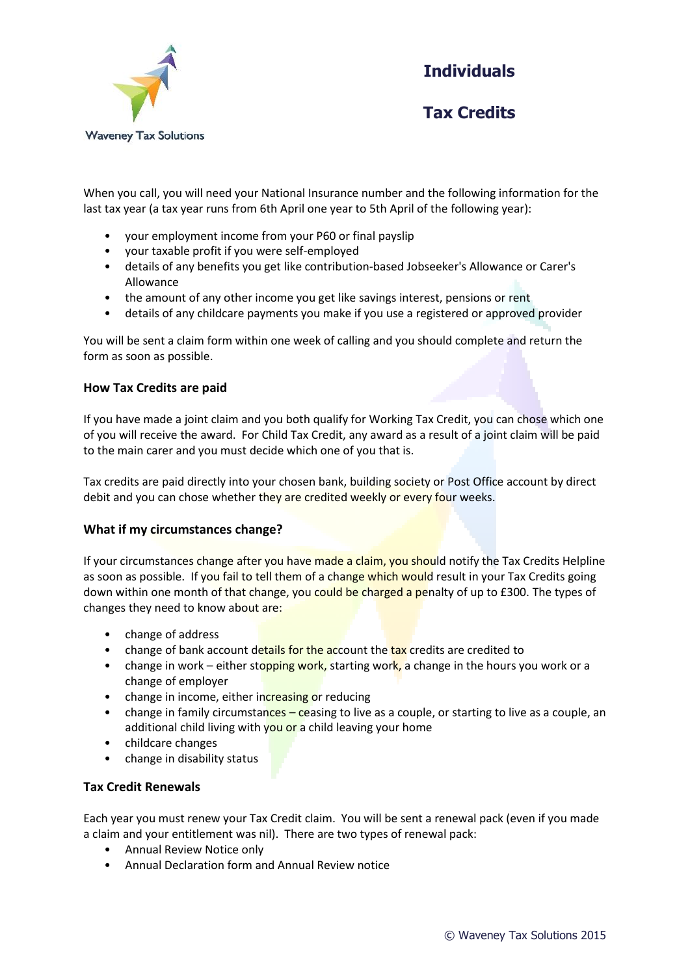

**Individuals**

**Tax Credits**

When you call, you will need your National Insurance number and the following information for the last tax year (a tax year runs from 6th April one year to 5th April of the following year):

- your employment income from your P60 or final payslip
- your taxable profit if you were self-employed
- details of any benefits you get like contribution-based Jobseeker's Allowance or Carer's Allowance
- the amount of any other income you get like savings interest, pensions or rent
- details of any childcare payments you make if you use a registered or approved provider

You will be sent a claim form within one week of calling and you should complete and return the form as soon as possible.

#### **How Tax Credits are paid**

If you have made a joint claim and you both qualify for Working Tax Credit, you can chose which one of you will receive the award. For Child Tax Credit, any award as a result of a joint claim will be paid to the main carer and you must decide which one of you that is.

Tax credits are paid directly into your chosen bank, building society or Post Office account by direct debit and you can chose whether they are credited weekly or every four weeks.

#### **What if my circumstances change?**

If your circumstances change after you have made a claim, you should notify the Tax Credits Helpline as soon as possible. If you fail to tell them of a change which would result in your Tax Credits going down within one month of that change, you could be charged a penalty of up to £300. The types of changes they need to know about are:

- change of address
- change of bank account details for the account the tax credits are credited to
- change in work either stopping work, starting work, a change in the hours you work or a change of employer
- change in income, either increasing or reducing
- change in family circumstances ceasing to live as a couple, or starting to live as a couple, an additional child living with you or a child leaving your home
- childcare changes
- change in disability status

#### **Tax Credit Renewals**

Each year you must renew your Tax Credit claim. You will be sent a renewal pack (even if you made a claim and your entitlement was nil). There are two types of renewal pack:

- Annual Review Notice only
- Annual Declaration form and Annual Review notice